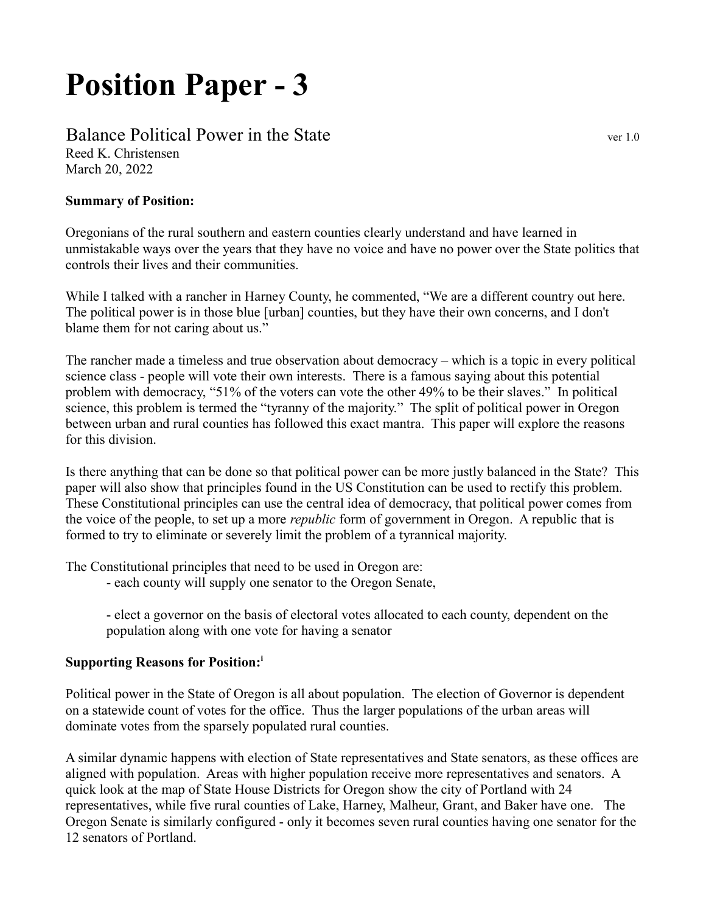# Position Paper - 3

## Balance Political Power in the State vertex of the state vertice vertice vertice

Reed K. Christensen March 20, 2022

#### Summary of Position:

Oregonians of the rural southern and eastern counties clearly understand and have learned in unmistakable ways over the years that they have no voice and have no power over the State politics that controls their lives and their communities.

While I talked with a rancher in Harney County, he commented, "We are a different country out here. The political power is in those blue [urban] counties, but they have their own concerns, and I don't blame them for not caring about us."

The rancher made a timeless and true observation about democracy – which is a topic in every political science class - people will vote their own interests. There is a famous saying about this potential problem with democracy, "51% of the voters can vote the other 49% to be their slaves." In political science, this problem is termed the "tyranny of the majority." The split of political power in Oregon between urban and rural counties has followed this exact mantra. This paper will explore the reasons for this division.

Is there anything that can be done so that political power can be more justly balanced in the State? This paper will also show that principles found in the US Constitution can be used to rectify this problem. These Constitutional principles can use the central idea of democracy, that political power comes from the voice of the people, to set up a more *republic* form of government in Oregon. A republic that is formed to try to eliminate or severely limit the problem of a tyrannical majority.

The Constitutional principles that need to be used in Oregon are:

- each county will supply one senator to the Oregon Senate,

- elect a governor on the basis of electoral votes allocated to each county, dependent on the population along with one vote for having a senator

#### Supporting Reasons for Position:<sup>i</sup>

Political power in the State of Oregon is all about population. The election of Governor is dependent on a statewide count of votes for the office. Thus the larger populations of the urban areas will dominate votes from the sparsely populated rural counties.

A similar dynamic happens with election of State representatives and State senators, as these offices are aligned with population. Areas with higher population receive more representatives and senators. A quick look at the map of State House Districts for Oregon show the city of Portland with 24 representatives, while five rural counties of Lake, Harney, Malheur, Grant, and Baker have one. The Oregon Senate is similarly configured - only it becomes seven rural counties having one senator for the 12 senators of Portland.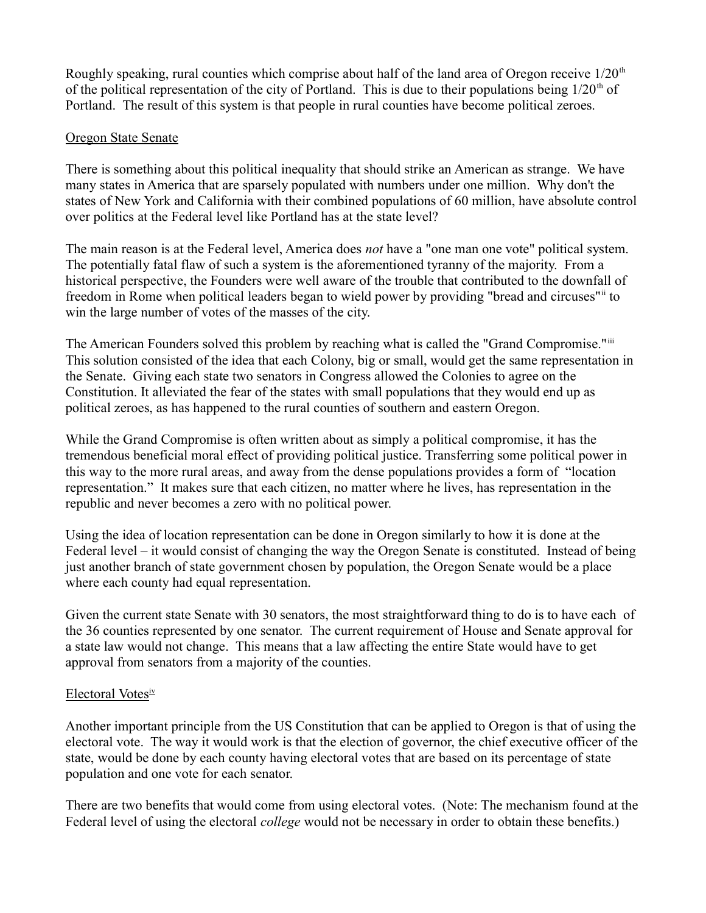Roughly speaking, rural counties which comprise about half of the land area of Oregon receive  $1/20<sup>th</sup>$ of the political representation of the city of Portland. This is due to their populations being  $1/20<sup>th</sup>$  of Portland. The result of this system is that people in rural counties have become political zeroes.

#### Oregon State Senate

There is something about this political inequality that should strike an American as strange. We have many states in America that are sparsely populated with numbers under one million. Why don't the states of New York and California with their combined populations of 60 million, have absolute control over politics at the Federal level like Portland has at the state level?

The main reason is at the Federal level, America does *not* have a "one man one vote" political system. The potentially fatal flaw of such a system is the aforementioned tyranny of the majority. From a historical perspective, the Founders were well aware of the trouble that contributed to the downfall of freedom in Rome when political leaders began to wield power by providing "bread and circuses" it win the large number of votes of the masses of the city.

The American Founders solved this problem by reaching what is called the "Grand Compromise."iii This solution consisted of the idea that each Colony, big or small, would get the same representation in the Senate. Giving each state two senators in Congress allowed the Colonies to agree on the Constitution. It alleviated the fear of the states with small populations that they would end up as political zeroes, as has happened to the rural counties of southern and eastern Oregon.

While the Grand Compromise is often written about as simply a political compromise, it has the tremendous beneficial moral effect of providing political justice. Transferring some political power in this way to the more rural areas, and away from the dense populations provides a form of "location representation." It makes sure that each citizen, no matter where he lives, has representation in the republic and never becomes a zero with no political power.

Using the idea of location representation can be done in Oregon similarly to how it is done at the Federal level – it would consist of changing the way the Oregon Senate is constituted. Instead of being just another branch of state government chosen by population, the Oregon Senate would be a place where each county had equal representation.

Given the current state Senate with 30 senators, the most straightforward thing to do is to have each of the 36 counties represented by one senator. The current requirement of House and Senate approval for a state law would not change. This means that a law affecting the entire State would have to get approval from senators from a majority of the counties.

### Electoral Votesiv

Another important principle from the US Constitution that can be applied to Oregon is that of using the electoral vote. The way it would work is that the election of governor, the chief executive officer of the state, would be done by each county having electoral votes that are based on its percentage of state population and one vote for each senator.

There are two benefits that would come from using electoral votes. (Note: The mechanism found at the Federal level of using the electoral *college* would not be necessary in order to obtain these benefits.)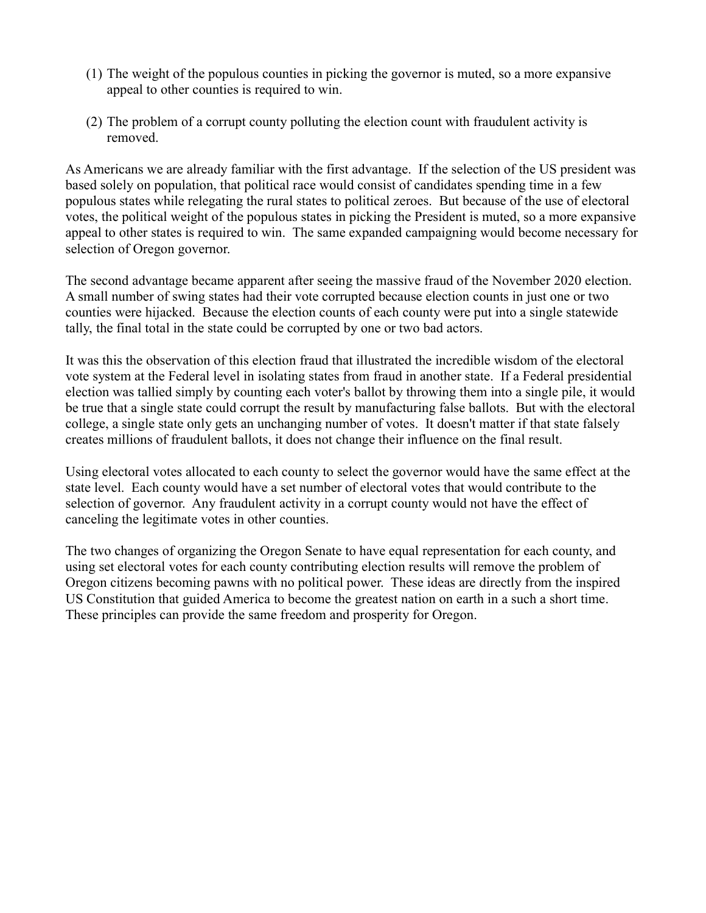- (1) The weight of the populous counties in picking the governor is muted, so a more expansive appeal to other counties is required to win.
- (2) The problem of a corrupt county polluting the election count with fraudulent activity is removed.

As Americans we are already familiar with the first advantage. If the selection of the US president was based solely on population, that political race would consist of candidates spending time in a few populous states while relegating the rural states to political zeroes. But because of the use of electoral votes, the political weight of the populous states in picking the President is muted, so a more expansive appeal to other states is required to win. The same expanded campaigning would become necessary for selection of Oregon governor.

The second advantage became apparent after seeing the massive fraud of the November 2020 election. A small number of swing states had their vote corrupted because election counts in just one or two counties were hijacked. Because the election counts of each county were put into a single statewide tally, the final total in the state could be corrupted by one or two bad actors.

It was this the observation of this election fraud that illustrated the incredible wisdom of the electoral vote system at the Federal level in isolating states from fraud in another state. If a Federal presidential election was tallied simply by counting each voter's ballot by throwing them into a single pile, it would be true that a single state could corrupt the result by manufacturing false ballots. But with the electoral college, a single state only gets an unchanging number of votes. It doesn't matter if that state falsely creates millions of fraudulent ballots, it does not change their influence on the final result.

Using electoral votes allocated to each county to select the governor would have the same effect at the state level. Each county would have a set number of electoral votes that would contribute to the selection of governor. Any fraudulent activity in a corrupt county would not have the effect of canceling the legitimate votes in other counties.

The two changes of organizing the Oregon Senate to have equal representation for each county, and using set electoral votes for each county contributing election results will remove the problem of Oregon citizens becoming pawns with no political power. These ideas are directly from the inspired US Constitution that guided America to become the greatest nation on earth in a such a short time. These principles can provide the same freedom and prosperity for Oregon.